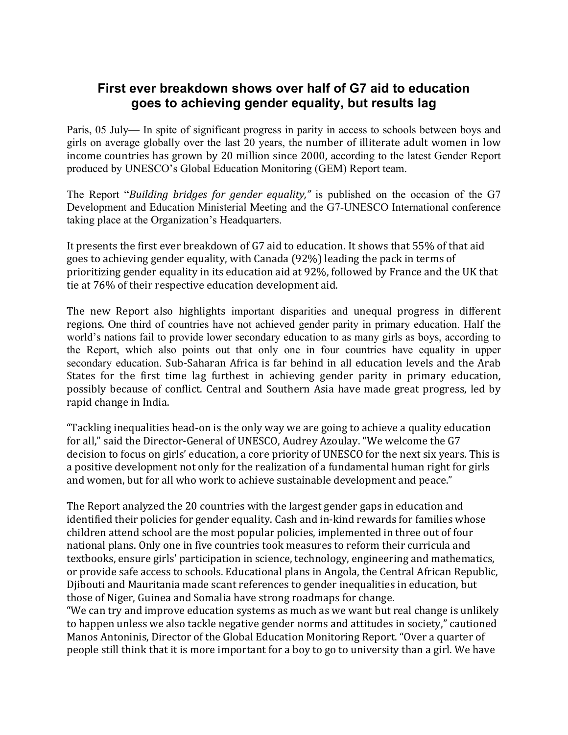## **First ever breakdown shows over half of G7 aid to education goes to achieving gender equality, but results lag**

Paris, 05 July— In spite of significant progress in parity in access to schools between boys and girls on average globally over the last 20 years, the number of illiterate adult women in low income countries has grown by 20 million since 2000, according to the latest Gender Report produced by UNESCO's Global Education Monitoring (GEM) Report team.

The Report "*Building bridges for gender equality*," is published on the occasion of the G7 Development and Education Ministerial Meeting and the G7-UNESCO International conference taking place at the Organization's Headquarters.

It presents the first ever breakdown of G7 aid to education. It shows that 55% of that aid goes to achieving gender equality, with Canada (92%) leading the pack in terms of prioritizing gender equality in its education aid at 92%, followed by France and the UK that tie at 76% of their respective education development aid.

The new Report also highlights important disparities and unequal progress in different regions. One third of countries have not achieved gender parity in primary education. Half the world's nations fail to provide lower secondary education to as many girls as boys, according to the Report, which also points out that only one in four countries have equality in upper secondary education. Sub-Saharan Africa is far behind in all education levels and the Arab States for the first time lag furthest in achieving gender parity in primary education, possibly because of conflict. Central and Southern Asia have made great progress, led by rapid change in India.

"Tackling inequalities head-on is the only way we are going to achieve a quality education for all," said the Director-General of UNESCO, Audrey Azoulay. "We welcome the G7 decision to focus on girls' education, a core priority of UNESCO for the next six years. This is a positive development not only for the realization of a fundamental human right for girls and women, but for all who work to achieve sustainable development and peace."

The Report analyzed the 20 countries with the largest gender gaps in education and identified their policies for gender equality. Cash and in-kind rewards for families whose children attend school are the most popular policies, implemented in three out of four national plans. Only one in five countries took measures to reform their curricula and textbooks, ensure girls' participation in science, technology, engineering and mathematics, or provide safe access to schools. Educational plans in Angola, the Central African Republic, Djibouti and Mauritania made scant references to gender inequalities in education, but those of Niger, Guinea and Somalia have strong roadmaps for change.

"We can try and improve education systems as much as we want but real change is unlikely to happen unless we also tackle negative gender norms and attitudes in society," cautioned Manos Antoninis, Director of the Global Education Monitoring Report. "Over a quarter of people still think that it is more important for a boy to go to university than a girl. We have